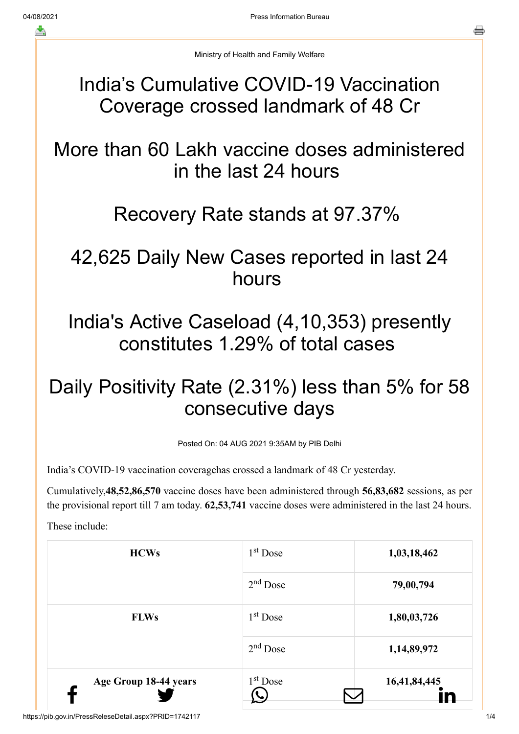Ministry of Health and Family Welfare

## India's Cumulative COVID-19 Vaccination Coverage crossed landmark of 48 Cr

More than 60 Lakh vaccine doses administered in the last 24 hours

## Recovery Rate stands at 97.37%

# 42,625 Daily New Cases reported in last 24 hours

India's Active Caseload (4,10,353) presently constitutes 1.29% of total cases

# Daily Positivity Rate (2.31%) less than 5% for 58 consecutive days

Posted On: 04 AUG 2021 9:35AM by PIB Delhi

India's COVID-19 vaccination coveragehas crossed a landmark of 48 Cr yesterday.

Cumulatively,**48,52,86,570** vaccine doses have been administered through **56,83,682** sessions, as per the provisional report till 7 am today. **62,53,741** vaccine doses were administered in the last 24 hours.

These include:

| <b>HCWs</b>           | $1st$ Dose           | 1,03,18,462  |
|-----------------------|----------------------|--------------|
|                       | $2nd$ Dose           | 79,00,794    |
| <b>FLWs</b>           | $1st$ Dose           | 1,80,03,726  |
|                       | $2nd$ Dose           | 1,14,89,972  |
| Age Group 18-44 years | 1 <sup>st</sup> Dose | 16,41,84,445 |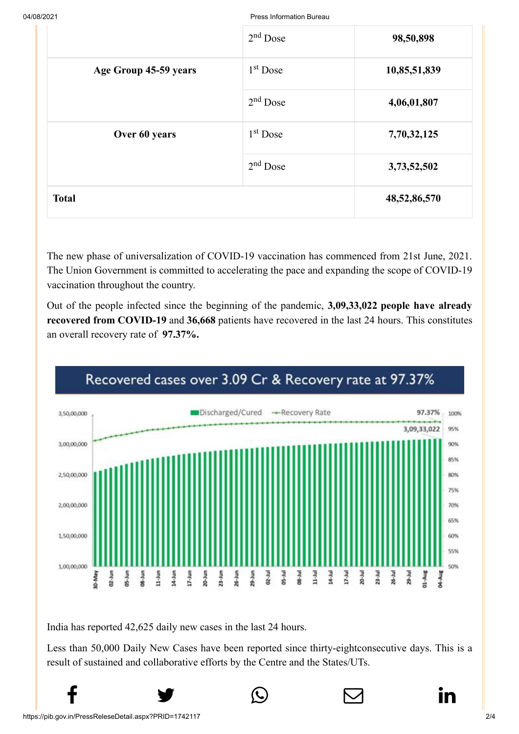04/08/2021 Press Information Bureau

|                       | $2nd$ Dose           | 98,50,898    |
|-----------------------|----------------------|--------------|
| Age Group 45-59 years | 1 <sup>st</sup> Dose | 10,85,51,839 |
|                       | $2nd$ Dose           | 4,06,01,807  |
| Over 60 years         | $1st$ Dose           | 7,70,32,125  |
|                       | $2nd$ Dose           | 3,73,52,502  |
| <b>Total</b>          |                      | 48,52,86,570 |

The new phase of universalization of COVID-19 vaccination has commenced from 21st June, 2021. The Union Government is committed to accelerating the pace and expanding the scope of COVID-19 vaccination throughout the country.

Out of the people infected since the beginning of the pandemic, **3,09,33,022 people have already recovered from COVID-19** and **36,668** patients have recovered in the last 24 hours. This constitutes an overall recovery rate of **97.37%.**



## Recovered cases over 3.09 Cr & Recovery rate at 97.37%

India has reported 42,625 daily new cases in the last 24 hours.

Less than 50,000 Daily New Cases have been reported since thirty-eightconsecutive days. This is a result of sustained and collaborative efforts by the Centre and the States/UTs.

 $f$  y  $\circledcirc$   $\quad \circ$  in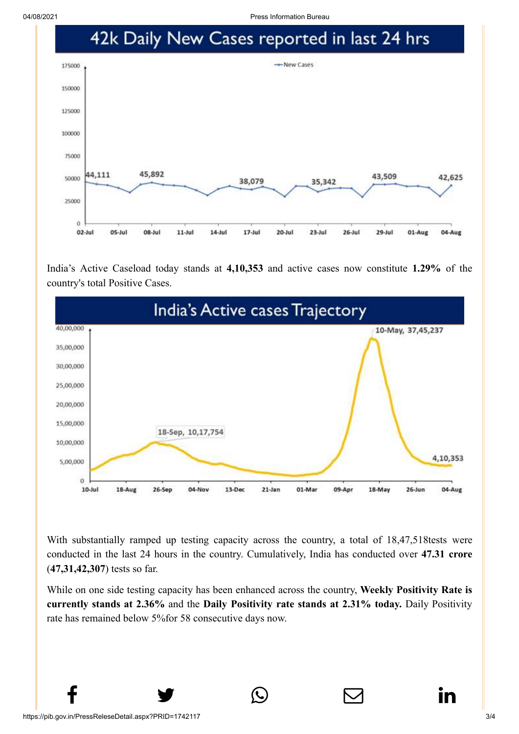

India's Active Caseload today stands at **4,10,353** and active cases now constitute **1.29%** of the country's total Positive Cases.



With substantially ramped up testing capacity across the country, a total of 18,47,518tests were conducted in the last 24 hours in the country. Cumulatively, India has conducted over **47.31 crore** (**47,31,42,307**) tests so far.

While on one side testing capacity has been enhanced across the country, **Weekly Positivity Rate is currently stands at 2.36%** and the **Daily Positivity rate stands at 2.31% today.** Daily Positivity rate has remained below 5%for 58 consecutive days now.

 $f$  y  $\circledcirc$   $\quad \circledcirc$  in